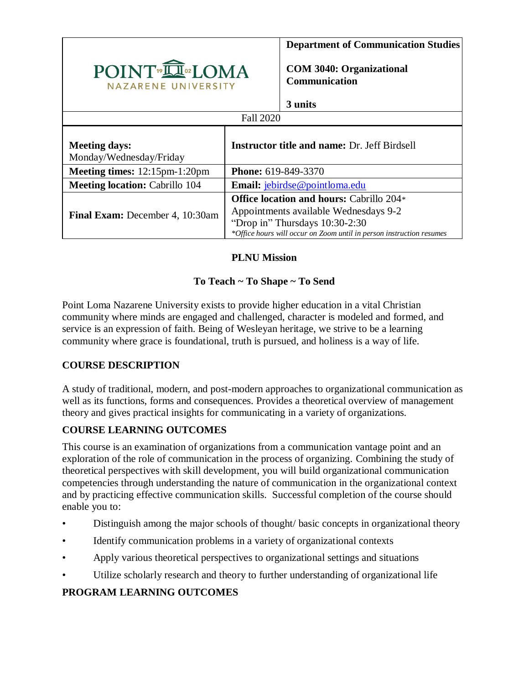

**Department of Communication Studies**

**COM 3040: Organizational Communication**

| units |
|-------|
|       |

| Fall 2020                                       |                                                                                                                                                                                                    |  |  |  |  |
|-------------------------------------------------|----------------------------------------------------------------------------------------------------------------------------------------------------------------------------------------------------|--|--|--|--|
| <b>Meeting days:</b><br>Monday/Wednesday/Friday | <b>Instructor title and name: Dr. Jeff Birdsell</b>                                                                                                                                                |  |  |  |  |
| <b>Meeting times:</b> $12:15$ pm- $1:20$ pm     | <b>Phone: 619-849-3370</b>                                                                                                                                                                         |  |  |  |  |
| <b>Meeting location: Cabrillo 104</b>           | Email: jebirdse@pointloma.edu                                                                                                                                                                      |  |  |  |  |
| <b>Final Exam:</b> December 4, 10:30am          | <b>Office location and hours: Cabrillo 204*</b><br>Appointments available Wednesdays 9-2<br>"Drop in" Thursdays 10:30-2:30<br>*Office hours will occur on Zoom until in person instruction resumes |  |  |  |  |

# **PLNU Mission**

# **To Teach ~ To Shape ~ To Send**

Point Loma Nazarene University exists to provide higher education in a vital Christian community where minds are engaged and challenged, character is modeled and formed, and service is an expression of faith. Being of Wesleyan heritage, we strive to be a learning community where grace is foundational, truth is pursued, and holiness is a way of life.

# **COURSE DESCRIPTION**

A study of traditional, modern, and post-modern approaches to organizational communication as well as its functions, forms and consequences. Provides a theoretical overview of management theory and gives practical insights for communicating in a variety of organizations.

# **COURSE LEARNING OUTCOMES**

This course is an examination of organizations from a communication vantage point and an exploration of the role of communication in the process of organizing. Combining the study of theoretical perspectives with skill development, you will build organizational communication competencies through understanding the nature of communication in the organizational context and by practicing effective communication skills. Successful completion of the course should enable you to:

- Distinguish among the major schools of thought/ basic concepts in organizational theory
- Identify communication problems in a variety of organizational contexts
- Apply various theoretical perspectives to organizational settings and situations
- Utilize scholarly research and theory to further understanding of organizational life

# **PROGRAM LEARNING OUTCOMES**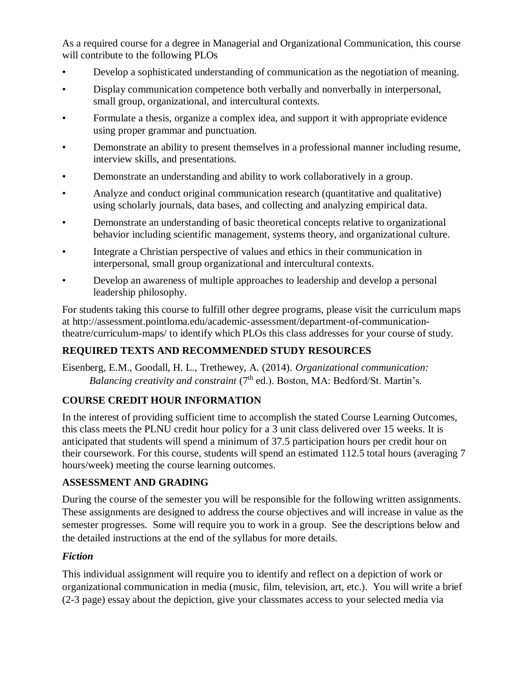As a required course for a degree in Managerial and Organizational Communication, this course will contribute to the following PLOs

- Develop a sophisticated understanding of communication as the negotiation of meaning.
- Display communication competence both verbally and nonverbally in interpersonal, small group, organizational, and intercultural contexts.
- Formulate a thesis, organize a complex idea, and support it with appropriate evidence using proper grammar and punctuation.
- Demonstrate an ability to present themselves in a professional manner including resume, interview skills, and presentations.
- Demonstrate an understanding and ability to work collaboratively in a group.
- Analyze and conduct original communication research (quantitative and qualitative) using scholarly journals, data bases, and collecting and analyzing empirical data.
- Demonstrate an understanding of basic theoretical concepts relative to organizational behavior including scientific management, systems theory, and organizational culture.
- Integrate a Christian perspective of values and ethics in their communication in interpersonal, small group organizational and intercultural contexts.
- Develop an awareness of multiple approaches to leadership and develop a personal leadership philosophy.

For students taking this course to fulfill other degree programs, please visit the curriculum maps at http://assessment.pointloma.edu/academic-assessment/department-of-communicationtheatre/curriculum-maps/ to identify which PLOs this class addresses for your course of study.

# **REQUIRED TEXTS AND RECOMMENDED STUDY RESOURCES**

Eisenberg, E.M., Goodall, H. L., Trethewey, A. (2014). *Organizational communication: Balancing creativity and constraint* (7<sup>th</sup> ed.). Boston, MA: Bedford/St. Martin's.

# **COURSE CREDIT HOUR INFORMATION**

In the interest of providing sufficient time to accomplish the stated Course Learning Outcomes, this class meets the PLNU credit hour policy for a 3 unit class delivered over 15 weeks. It is anticipated that students will spend a minimum of 37.5 participation hours per credit hour on their coursework. For this course, students will spend an estimated 112.5 total hours (averaging 7 hours/week) meeting the course learning outcomes.

# **ASSESSMENT AND GRADING**

During the course of the semester you will be responsible for the following written assignments. These assignments are designed to address the course objectives and will increase in value as the semester progresses. Some will require you to work in a group. See the descriptions below and the detailed instructions at the end of the syllabus for more details.

# *Fiction*

This individual assignment will require you to identify and reflect on a depiction of work or organizational communication in media (music, film, television, art, etc.). You will write a brief (2-3 page) essay about the depiction, give your classmates access to your selected media via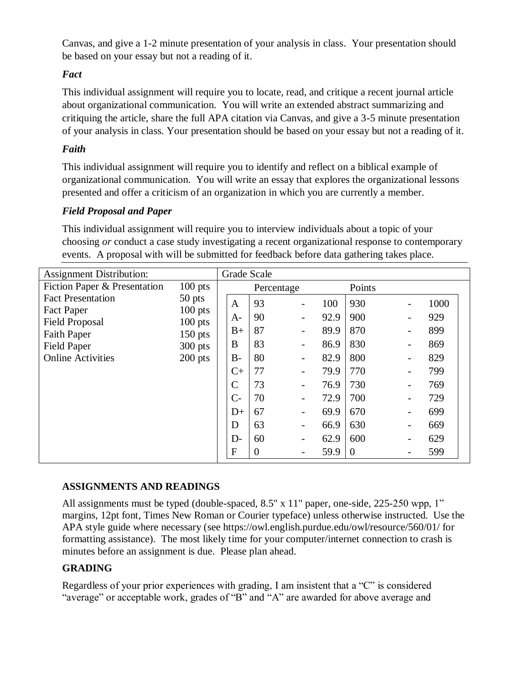Canvas, and give a 1-2 minute presentation of your analysis in class. Your presentation should be based on your essay but not a reading of it.

### *Fact*

This individual assignment will require you to locate, read, and critique a recent journal article about organizational communication. You will write an extended abstract summarizing and critiquing the article, share the full APA citation via Canvas, and give a 3-5 minute presentation of your analysis in class. Your presentation should be based on your essay but not a reading of it.

### *Faith*

This individual assignment will require you to identify and reflect on a biblical example of organizational communication. You will write an essay that explores the organizational lessons presented and offer a criticism of an organization in which you are currently a member.

### *Field Proposal and Paper*

This individual assignment will require you to interview individuals about a topic of your choosing *or* conduct a case study investigating a recent organizational response to contemporary events. A proposal with will be submitted for feedback before data gathering takes place.

| <b>Assignment Distribution:</b>                |           |               | <b>Grade Scale</b> |                          |      |                |   |      |  |
|------------------------------------------------|-----------|---------------|--------------------|--------------------------|------|----------------|---|------|--|
| Fiction Paper & Presentation                   | $100$ pts |               | Percentage         |                          |      | Points         |   |      |  |
| <b>Fact Presentation</b>                       | $50$ pts  | $\mathbf{A}$  | 93                 |                          | 100  | 930            |   | 1000 |  |
| Fact Paper                                     | $100$ pts | $A-$          | 90                 |                          | 92.9 | 900            |   | 929  |  |
| <b>Field Proposal</b>                          | $100$ pts | $B+$          | 87                 |                          | 89.9 | 870            |   | 899  |  |
| <b>Faith Paper</b>                             | $150$ pts | B             | 83                 |                          | 86.9 | 830            |   | 869  |  |
| <b>Field Paper</b><br><b>Online Activities</b> | $300$ pts | $B-$          | 80                 | $\overline{\phantom{0}}$ | 82.9 | 800            | - | 829  |  |
|                                                | $200$ pts |               |                    |                          |      |                |   |      |  |
|                                                |           | $C+$          | 77                 |                          | 79.9 | 770            |   | 799  |  |
|                                                |           | $\mathcal{C}$ | 73                 |                          | 76.9 | 730            |   | 769  |  |
|                                                |           | $C-$          | 70                 |                          | 72.9 | 700            |   | 729  |  |
|                                                |           | $D+$          | 67                 |                          | 69.9 | 670            |   | 699  |  |
|                                                |           | D             | 63                 |                          | 66.9 | 630            |   | 669  |  |
|                                                |           | $D-$          | 60                 |                          | 62.9 | 600            |   | 629  |  |
|                                                |           | $\mathbf{F}$  | $\theta$           |                          | 59.9 | $\overline{0}$ |   | 599  |  |

#### **ASSIGNMENTS AND READINGS**

All assignments must be typed (double-spaced, 8.5" x 11" paper, one-side, 225-250 wpp, 1" margins, 12pt font, Times New Roman or Courier typeface) unless otherwise instructed. Use the APA style guide where necessary (see https://owl.english.purdue.edu/owl/resource/560/01/ for formatting assistance). The most likely time for your computer/internet connection to crash is minutes before an assignment is due. Please plan ahead.

#### **GRADING**

Regardless of your prior experiences with grading, I am insistent that a "C" is considered "average" or acceptable work, grades of "B" and "A" are awarded for above average and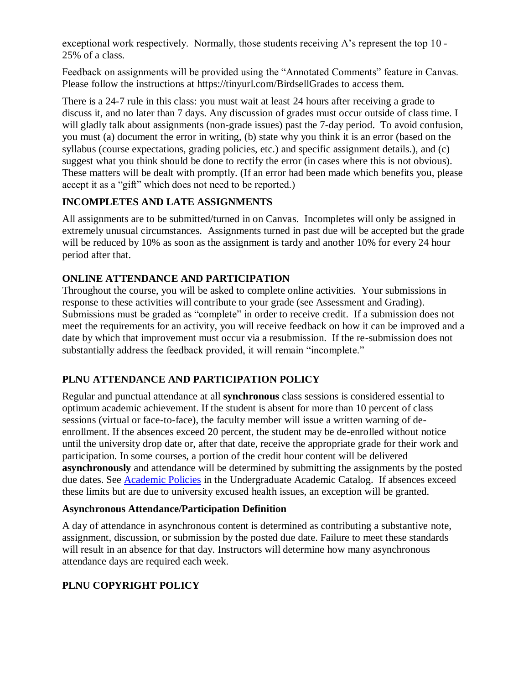exceptional work respectively. Normally, those students receiving A's represent the top 10 - 25% of a class.

Feedback on assignments will be provided using the "Annotated Comments" feature in Canvas. Please follow the instructions at https://tinyurl.com/BirdsellGrades to access them.

There is a 24-7 rule in this class: you must wait at least 24 hours after receiving a grade to discuss it, and no later than 7 days. Any discussion of grades must occur outside of class time. I will gladly talk about assignments (non-grade issues) past the 7-day period. To avoid confusion, you must (a) document the error in writing, (b) state why you think it is an error (based on the syllabus (course expectations, grading policies, etc.) and specific assignment details.), and (c) suggest what you think should be done to rectify the error (in cases where this is not obvious). These matters will be dealt with promptly. (If an error had been made which benefits you, please accept it as a "gift" which does not need to be reported.)

### **INCOMPLETES AND LATE ASSIGNMENTS**

All assignments are to be submitted/turned in on Canvas. Incompletes will only be assigned in extremely unusual circumstances. Assignments turned in past due will be accepted but the grade will be reduced by 10% as soon as the assignment is tardy and another 10% for every 24 hour period after that.

### **ONLINE ATTENDANCE AND PARTICIPATION**

Throughout the course, you will be asked to complete online activities. Your submissions in response to these activities will contribute to your grade (see Assessment and Grading). Submissions must be graded as "complete" in order to receive credit. If a submission does not meet the requirements for an activity, you will receive feedback on how it can be improved and a date by which that improvement must occur via a resubmission. If the re-submission does not substantially address the feedback provided, it will remain "incomplete."

# **PLNU ATTENDANCE AND PARTICIPATION POLICY**

Regular and punctual attendance at all **synchronous** class sessions is considered essential to optimum academic achievement. If the student is absent for more than 10 percent of class sessions (virtual or face-to-face), the faculty member will issue a written warning of deenrollment. If the absences exceed 20 percent, the student may be de-enrolled without notice until the university drop date or, after that date, receive the appropriate grade for their work and participation. In some courses, a portion of the credit hour content will be delivered **asynchronously** and attendance will be determined by submitting the assignments by the posted due dates. See **Academic Policies** in the Undergraduate Academic Catalog. If absences exceed these limits but are due to university excused health issues, an exception will be granted.

#### **Asynchronous Attendance/Participation Definition**

A day of attendance in asynchronous content is determined as contributing a substantive note, assignment, discussion, or submission by the posted due date. Failure to meet these standards will result in an absence for that day. Instructors will determine how many asynchronous attendance days are required each week.

# **PLNU COPYRIGHT POLICY**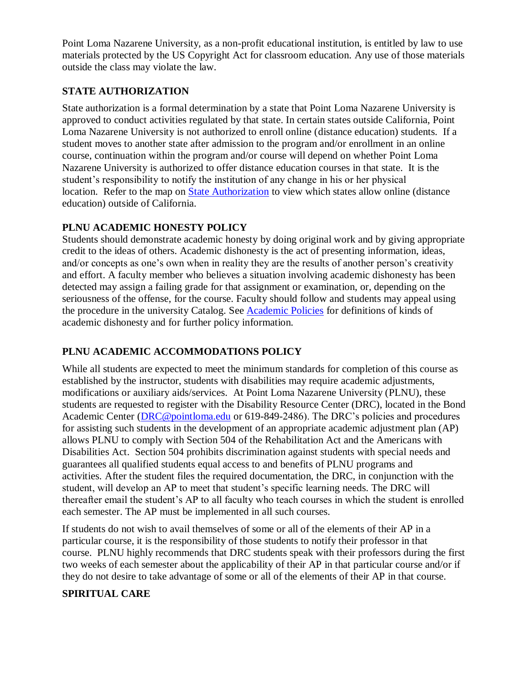Point Loma Nazarene University, as a non-profit educational institution, is entitled by law to use materials protected by the US Copyright Act for classroom education. Any use of those materials outside the class may violate the law.

### **STATE AUTHORIZATION**

State authorization is a formal determination by a state that Point Loma Nazarene University is approved to conduct activities regulated by that state. In certain states outside California, Point Loma Nazarene University is not authorized to enroll online (distance education) students. If a student moves to another state after admission to the program and/or enrollment in an online course, continuation within the program and/or course will depend on whether Point Loma Nazarene University is authorized to offer distance education courses in that state. It is the student's responsibility to notify the institution of any change in his or her physical location. Refer to the map on [State Authorization](https://www.pointloma.edu/offices/office-institutional-effectiveness-research/disclosures) to view which states allow online (distance education) outside of California.

### **PLNU ACADEMIC HONESTY POLICY**

Students should demonstrate academic honesty by doing original work and by giving appropriate credit to the ideas of others. Academic dishonesty is the act of presenting information, ideas, and/or concepts as one's own when in reality they are the results of another person's creativity and effort. A faculty member who believes a situation involving academic dishonesty has been detected may assign a failing grade for that assignment or examination, or, depending on the seriousness of the offense, for the course. Faculty should follow and students may appeal using the procedure in the university Catalog. See [Academic Policies](https://catalog.pointloma.edu/content.php?catoid=41&navoid=2435#Academic_Honesty) for definitions of kinds of academic dishonesty and for further policy information.

# **PLNU ACADEMIC ACCOMMODATIONS POLICY**

While all students are expected to meet the minimum standards for completion of this course as established by the instructor, students with disabilities may require academic adjustments, modifications or auxiliary aids/services. At Point Loma Nazarene University (PLNU), these students are requested to register with the Disability Resource Center (DRC), located in the Bond Academic Center [\(DRC@pointloma.edu](mailto:DRC@pointloma.edu) or 619-849-2486). The DRC's policies and procedures for assisting such students in the development of an appropriate academic adjustment plan (AP) allows PLNU to comply with Section 504 of the Rehabilitation Act and the Americans with Disabilities Act. Section 504 prohibits discrimination against students with special needs and guarantees all qualified students equal access to and benefits of PLNU programs and activities. After the student files the required documentation, the DRC, in conjunction with the student, will develop an AP to meet that student's specific learning needs. The DRC will thereafter email the student's AP to all faculty who teach courses in which the student is enrolled each semester. The AP must be implemented in all such courses.

If students do not wish to avail themselves of some or all of the elements of their AP in a particular course, it is the responsibility of those students to notify their professor in that course. PLNU highly recommends that DRC students speak with their professors during the first two weeks of each semester about the applicability of their AP in that particular course and/or if they do not desire to take advantage of some or all of the elements of their AP in that course.

# **SPIRITUAL CARE**